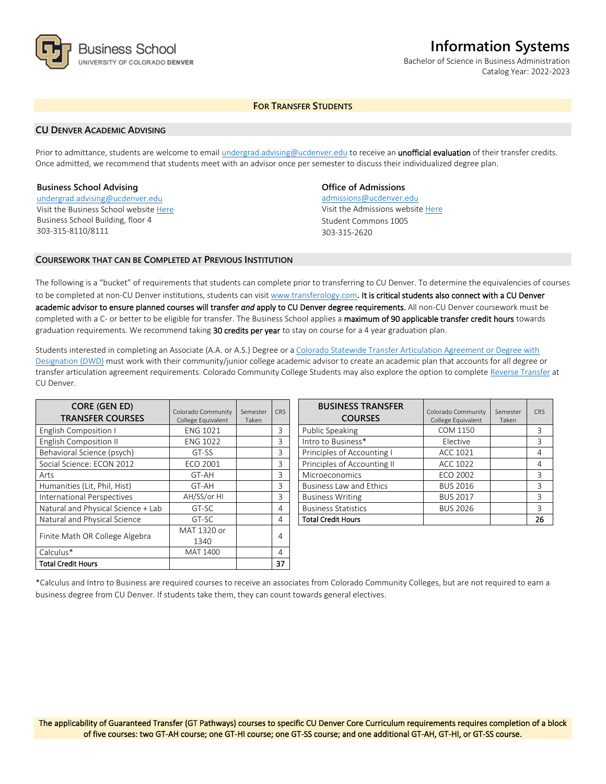

# **Information Systems**

Bachelor of Science in Business Administration Catalog Year: 2022-2023

# **FOR TRANSFER STUDENTS**

#### **CU DENVER ACADEMIC ADVISING**

Prior to admittance, students are welcome to email [undergrad.advising@ucdenver.edu](mailto:undergrad.advising@ucdenver.edu) to receive an *unofficial evaluation* of their transfer credits. Once admitted, we recommend that students meet with an advisor once per semester to discuss their individualized degree plan.

#### **Business School Advising**

[undergrad.advising@ucdenver.edu](mailto:undergrad.advising@ucdenver.edu) Visit the Business School websit[e Here](http://www.ucdenver.edu/academics/colleges/business/Pages/business-school.aspx)  Business School Building, floor 4 303-315-8110/8111

## **Office of Admissions**

admissions@ucdenver.edu Visit the Admissions website [Here](http://www.ucdenver.edu/admissions/) Student Commons 1005 303-315-2620

#### **COURSEWORK THAT CAN BE COMPLETED AT PREVIOUS INSTITUTION**

The following is a "bucket" of requirements that students can complete prior to transferring to CU Denver. To determine the equivalencies of courses to be completed at non-CU Denver institutions, students can visit [www.transferology.com](http://www.transferology.com/)**.** It is critical students also connect with a CU Denver academic advisor to ensure planned courses will transfer *and* apply to CU Denver degree requirements. All non-CU Denver coursework must be completed with a C- or better to be eligible for transfer. The Business School applies a maximum of 90 applicable transfer credit hours towards graduation requirements. We recommend taking 30 credits per year to stay on course for a 4 year graduation plan.

Students interested in completing an Associate (A.A. or A.S.) Degree or a [Colorado Statewide Transfer Articulation Agreement or Degree with](https://highered.colorado.gov/Academics/Transfers/TransferDegrees.html)  [Designation \(DWD\)](https://highered.colorado.gov/Academics/Transfers/TransferDegrees.html) must work with their community/junior college academic advisor to create an academic plan that accounts for all degree or transfer articulation agreement requirements. Colorado Community College Students may also explore the option to complet[e Reverse Transfer](https://degreewithinreach.wordpress.com/) at CU Denver.

| <b>CORE (GEN ED)</b><br><b>TRANSFER COURSES</b> | Colorado Community<br>College Equivalent | Semester<br>Taken | <b>CRS</b> |
|-------------------------------------------------|------------------------------------------|-------------------|------------|
| <b>English Composition I</b>                    | <b>ENG 1021</b>                          |                   | 3          |
| <b>English Composition II</b>                   | <b>ENG 1022</b>                          |                   | 3          |
| Behavioral Science (psych)                      | GT-SS                                    |                   | 3          |
| Social Science: ECON 2012                       | <b>ECO 2001</b>                          |                   | 3          |
| Arts                                            | GT-AH                                    |                   | 3          |
| Humanities (Lit, Phil, Hist)                    | GT-AH                                    |                   | 3          |
| International Perspectives                      | AH/SS/or HI                              |                   | 3          |
| Natural and Physical Science + Lab              | GT-SC                                    |                   | 4          |
| Natural and Physical Science                    | GT-SC                                    |                   | 4          |
| Finite Math OR College Algebra                  | MAT 1320 or                              |                   | 4          |
|                                                 | 1340                                     |                   |            |
| Calculus*                                       | MAT 1400                                 |                   | 4          |
| Total Credit Hours                              |                                          |                   | 37         |

| <b>BUSINESS TRANSFER</b><br><b>COURSES</b> | Colorado Community<br>College Equivalent | Semester<br>Taken | CRS |
|--------------------------------------------|------------------------------------------|-------------------|-----|
| <b>Public Speaking</b>                     | COM 1150                                 |                   | 3   |
| Intro to Business*                         | Elective                                 |                   | 3   |
| Principles of Accounting I                 | ACC 1021                                 |                   | 4   |
| Principles of Accounting II                | ACC 1022                                 |                   | 4   |
| Microeconomics                             | ECO 2002                                 |                   | 3   |
| <b>Business Law and Ethics</b>             | <b>BUS 2016</b>                          |                   | 3   |
| <b>Business Writing</b>                    | <b>BUS 2017</b>                          |                   | ζ   |
| <b>Business Statistics</b>                 | <b>BUS 2026</b>                          |                   | 3   |
| <b>Total Credit Hours</b>                  |                                          |                   | 26  |

\*Calculus and Intro to Business are required courses to receive an associates from Colorado Community Colleges, but are not required to earn a business degree from CU Denver. If students take them, they can count towards general electives.